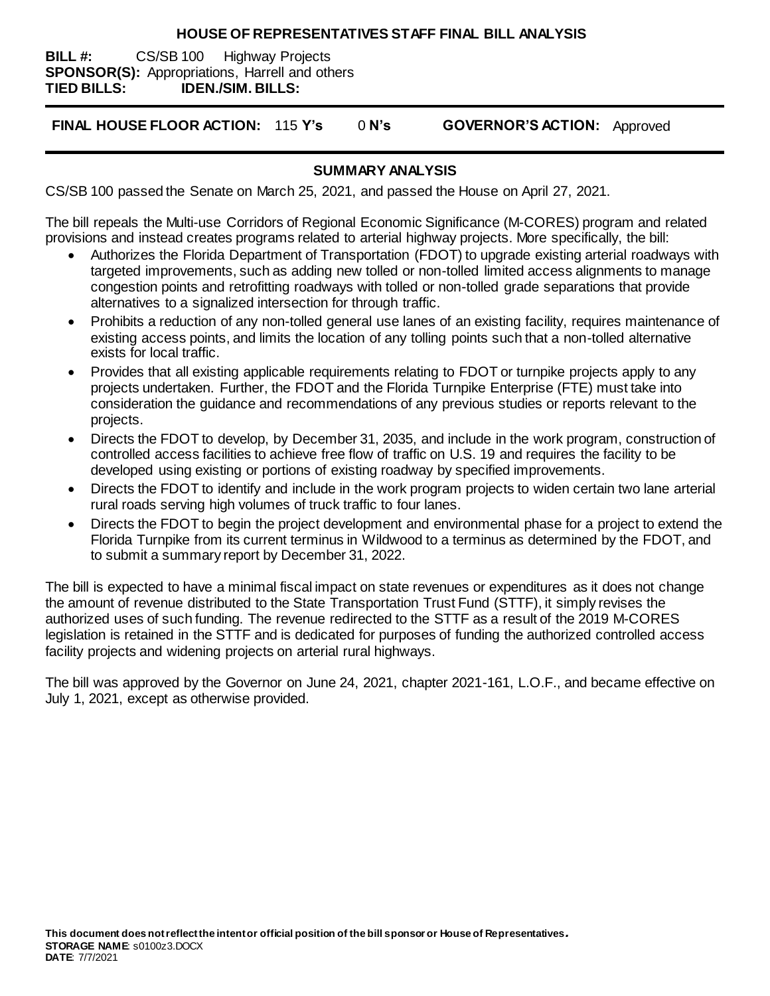#### **HOUSE OF REPRESENTATIVES STAFF FINAL BILL ANALYSIS**

**BILL #:** CS/SB 100 Highway Projects **SPONSOR(S):** Appropriations, Harrell and others **TIED BILLS: IDEN./SIM. BILLS:**

**FINAL HOUSE FLOOR ACTION:** 115 **Y's** 0 **N's GOVERNOR'S ACTION:** Approved

### **SUMMARY ANALYSIS**

CS/SB 100 passed the Senate on March 25, 2021, and passed the House on April 27, 2021.

The bill repeals the Multi-use Corridors of Regional Economic Significance (M-CORES) program and related provisions and instead creates programs related to arterial highway projects. More specifically, the bill:

- Authorizes the Florida Department of Transportation (FDOT) to upgrade existing arterial roadways with targeted improvements, such as adding new tolled or non-tolled limited access alignments to manage congestion points and retrofitting roadways with tolled or non-tolled grade separations that provide alternatives to a signalized intersection for through traffic.
- Prohibits a reduction of any non-tolled general use lanes of an existing facility, requires maintenance of existing access points, and limits the location of any tolling points such that a non-tolled alternative exists for local traffic.
- Provides that all existing applicable requirements relating to FDOT or turnpike projects apply to any projects undertaken. Further, the FDOT and the Florida Turnpike Enterprise (FTE) must take into consideration the guidance and recommendations of any previous studies or reports relevant to the projects.
- Directs the FDOT to develop, by December 31, 2035, and include in the work program, construction of controlled access facilities to achieve free flow of traffic on U.S. 19 and requires the facility to be developed using existing or portions of existing roadway by specified improvements.
- Directs the FDOT to identify and include in the work program projects to widen certain two lane arterial rural roads serving high volumes of truck traffic to four lanes.
- Directs the FDOT to begin the project development and environmental phase for a project to extend the Florida Turnpike from its current terminus in Wildwood to a terminus as determined by the FDOT, and to submit a summary report by December 31, 2022.

The bill is expected to have a minimal fiscal impact on state revenues or expenditures as it does not change the amount of revenue distributed to the State Transportation Trust Fund (STTF), it simply revises the authorized uses of such funding. The revenue redirected to the STTF as a result of the 2019 M-CORES legislation is retained in the STTF and is dedicated for purposes of funding the authorized controlled access facility projects and widening projects on arterial rural highways.

The bill was approved by the Governor on June 24, 2021, chapter 2021-161, L.O.F., and became effective on July 1, 2021, except as otherwise provided.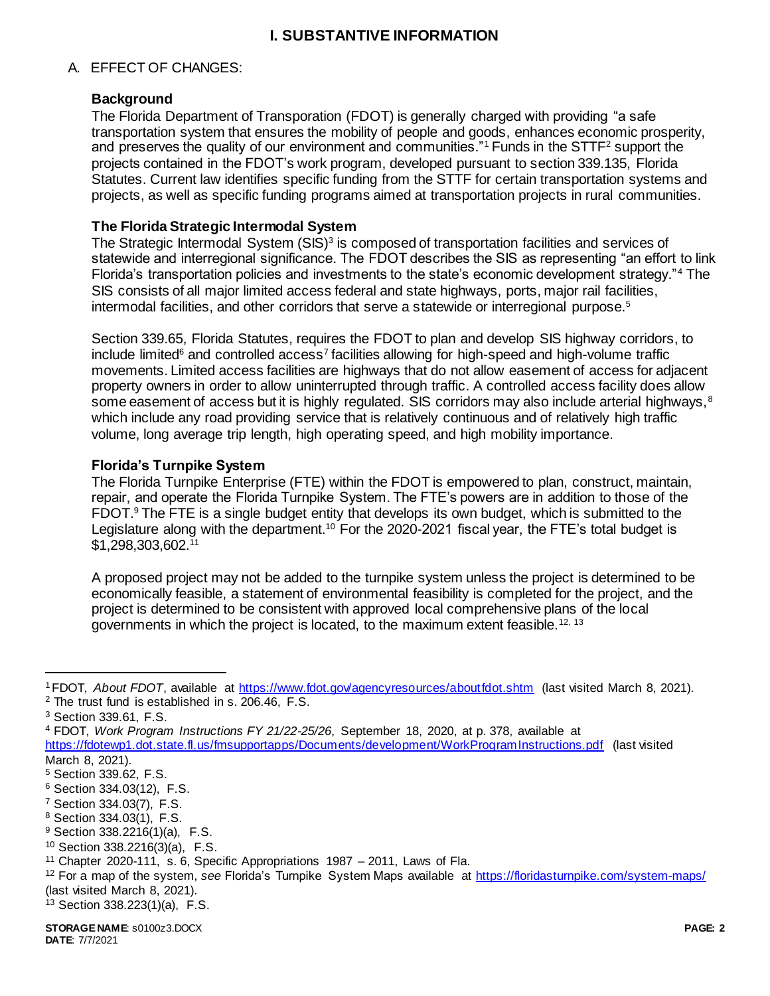## **I. SUBSTANTIVE INFORMATION**

### A. EFFECT OF CHANGES:

### **Background**

The Florida Department of Transporation (FDOT) is generally charged with providing "a safe transportation system that ensures the mobility of people and goods, enhances economic prosperity, and preserves the quality of our environment and communities."<sup>1</sup> Funds in the STTF<sup>2</sup> support the projects contained in the FDOT's work program, developed pursuant to section 339.135, Florida Statutes. Current law identifies specific funding from the STTF for certain transportation systems and projects, as well as specific funding programs aimed at transportation projects in rural communities.

### **The Florida Strategic Intermodal System**

The Strategic Intermodal System  $(SIS)^3$  is composed of transportation facilities and services of statewide and interregional significance. The FDOT describes the SIS as representing "an effort to link Florida's transportation policies and investments to the state's economic development strategy."<sup>4</sup> The SIS consists of all major limited access federal and state highways, ports, major rail facilities, intermodal facilities, and other corridors that serve a statewide or interregional purpose.<sup>5</sup>

Section 339.65, Florida Statutes, requires the FDOT to plan and develop SIS highway corridors, to include limited<sup>6</sup> and controlled access<sup>7</sup> facilities allowing for high-speed and high-volume traffic movements. Limited access facilities are highways that do not allow easement of access for adjacent property owners in order to allow uninterrupted through traffic. A controlled access facility does allow some easement of access but it is highly regulated. SIS corridors may also include arterial highways,  $8$ which include any road providing service that is relatively continuous and of relatively high traffic volume, long average trip length, high operating speed, and high mobility importance.

### **Florida's Turnpike System**

The Florida Turnpike Enterprise (FTE) within the FDOT is empowered to plan, construct, maintain, repair, and operate the Florida Turnpike System. The FTE's powers are in addition to those of the FDOT.<sup>9</sup> The FTE is a single budget entity that develops its own budget, which is submitted to the Legislature along with the department.<sup>10</sup> For the 2020-2021 fiscal year, the FTE's total budget is \$1,298,303,602.<sup>11</sup>

A proposed project may not be added to the turnpike system unless the project is determined to be economically feasible, a statement of environmental feasibility is completed for the project, and the project is determined to be consistent with approved local comprehensive plans of the local governments in which the project is located, to the maximum extent feasible.<sup>12, 13</sup>

<sup>1</sup> FDOT, *About FDOT*, available at<https://www.fdot.gov/agencyresources/aboutfdot.shtm> (last visited March 8, 2021). <sup>2</sup> The trust fund is established in s. 206.46, F.S.

<sup>3</sup> Section 339.61, F.S.

<sup>4</sup> FDOT, *Work Program Instructions FY 21/22-25/26*, September 18, 2020, at p. 378, available at

<https://fdotewp1.dot.state.fl.us/fmsupportapps/Documents/development/WorkProgramInstructions.pdf> (last visited March 8, 2021).

<sup>5</sup> Section 339.62, F.S.

<sup>6</sup> Section 334.03(12), F.S.

<sup>7</sup> Section 334.03(7), F.S.

<sup>8</sup> Section 334.03(1), F.S.

<sup>9</sup> Section 338.2216(1)(a), F.S.

<sup>10</sup> Section 338.2216(3)(a), F.S.

<sup>&</sup>lt;sup>11</sup> Chapter 2020-111, s. 6, Specific Appropriations  $1987 - 2011$ , Laws of Fla.

<sup>12</sup> For a map of the system, *see* Florida's Turnpike System Maps available a[t https://floridasturnpike.com/system-maps/](https://floridasturnpike.com/system-maps/) (last visited March 8, 2021).

<sup>13</sup> Section 338.223(1)(a), F.S.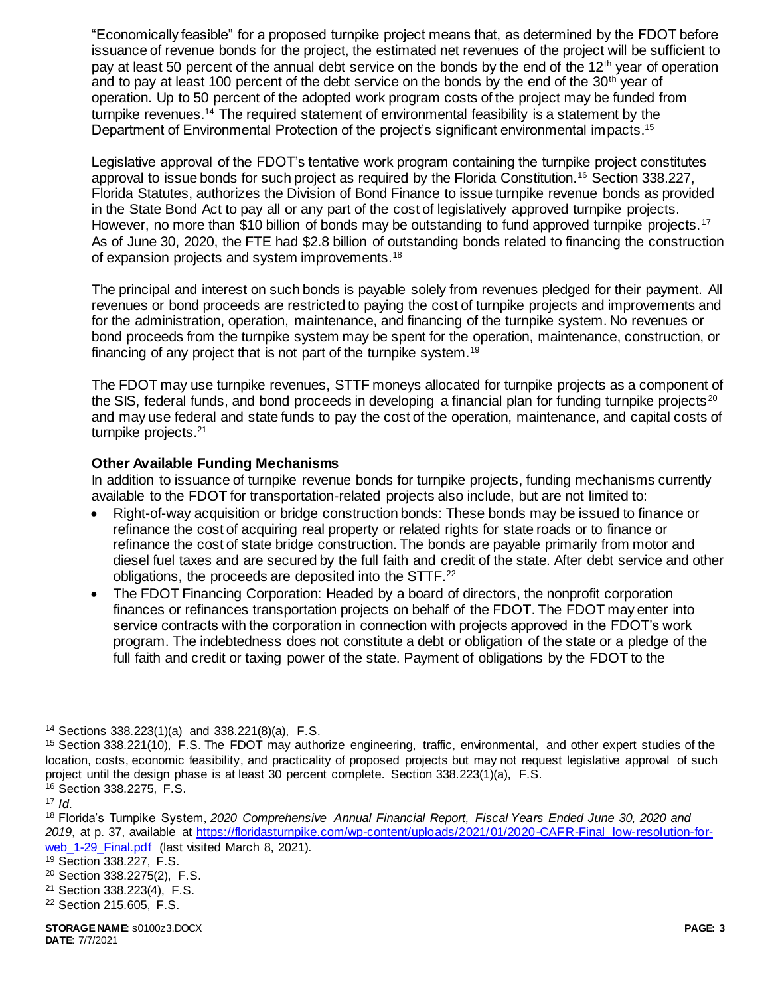"Economically feasible" for a proposed turnpike project means that, as determined by the FDOT before issuance of revenue bonds for the project, the estimated net revenues of the project will be sufficient to pay at least 50 percent of the annual debt service on the bonds by the end of the 12<sup>th</sup> year of operation and to pay at least 100 percent of the debt service on the bonds by the end of the  $30<sup>th</sup>$  year of operation. Up to 50 percent of the adopted work program costs of the project may be funded from turnpike revenues.<sup>14</sup> The required statement of environmental feasibility is a statement by the Department of Environmental Protection of the project's significant environmental impacts.<sup>15</sup>

Legislative approval of the FDOT's tentative work program containing the turnpike project constitutes approval to issue bonds for such project as required by the Florida Constitution.<sup>16</sup> Section 338.227, Florida Statutes, authorizes the Division of Bond Finance to issue turnpike revenue bonds as provided in the State Bond Act to pay all or any part of the cost of legislatively approved turnpike projects. However, no more than \$10 billion of bonds may be outstanding to fund approved turnpike projects.<sup>17</sup> As of June 30, 2020, the FTE had \$2.8 billion of outstanding bonds related to financing the construction of expansion projects and system improvements.<sup>18</sup>

The principal and interest on such bonds is payable solely from revenues pledged for their payment. All revenues or bond proceeds are restricted to paying the cost of turnpike projects and improvements and for the administration, operation, maintenance, and financing of the turnpike system. No revenues or bond proceeds from the turnpike system may be spent for the operation, maintenance, construction, or financing of any project that is not part of the turnpike system.<sup>19</sup>

The FDOT may use turnpike revenues, STTF moneys allocated for turnpike projects as a component of the SIS, federal funds, and bond proceeds in developing a financial plan for funding turnpike projects<sup>20</sup> and may use federal and state funds to pay the cost of the operation, maintenance, and capital costs of turnpike projects.<sup>21</sup>

## **Other Available Funding Mechanisms**

In addition to issuance of turnpike revenue bonds for turnpike projects, funding mechanisms currently available to the FDOT for transportation-related projects also include, but are not limited to:

- Right-of-way acquisition or bridge construction bonds: These bonds may be issued to finance or refinance the cost of acquiring real property or related rights for state roads or to finance or refinance the cost of state bridge construction. The bonds are payable primarily from motor and diesel fuel taxes and are secured by the full faith and credit of the state. After debt service and other obligations, the proceeds are deposited into the STTF.<sup>22</sup>
- The FDOT Financing Corporation: Headed by a board of directors, the nonprofit corporation finances or refinances transportation projects on behalf of the FDOT. The FDOT may enter into service contracts with the corporation in connection with projects approved in the FDOT's work program. The indebtedness does not constitute a debt or obligation of the state or a pledge of the full faith and credit or taxing power of the state. Payment of obligations by the FDOT to the

<sup>14</sup> Sections 338.223(1)(a) and 338.221(8)(a), F.S.

<sup>15</sup> Section 338.221(10), F.S. The FDOT may authorize engineering, traffic, environmental, and other expert studies of the location, costs, economic feasibility, and practicality of proposed projects but may not request legislative approval of such project until the design phase is at least 30 percent complete. Section 338.223(1)(a), F.S. <sup>16</sup> Section 338.2275, F.S.

 $17$  *Id.* 

<sup>18</sup> Florida's Turnpike System, *2020 Comprehensive Annual Financial Report, Fiscal Years Ended June 30, 2020 and 2019*, at p. 37, available at [https://floridasturnpike.com/wp-content/uploads/2021/01/2020-CAFR-Final\\_low-resolution-for](https://floridasturnpike.com/wp-content/uploads/2021/01/2020-CAFR-Final_low-resolution-for-web_1-29_Final.pdf)web 1-29 Final.pdf (last visited March 8, 2021).

<sup>19</sup> Section 338.227, F.S.

<sup>20</sup> Section 338.2275(2), F.S.

<sup>21</sup> Section 338.223(4), F.S.

<sup>22</sup> Section 215.605, F.S.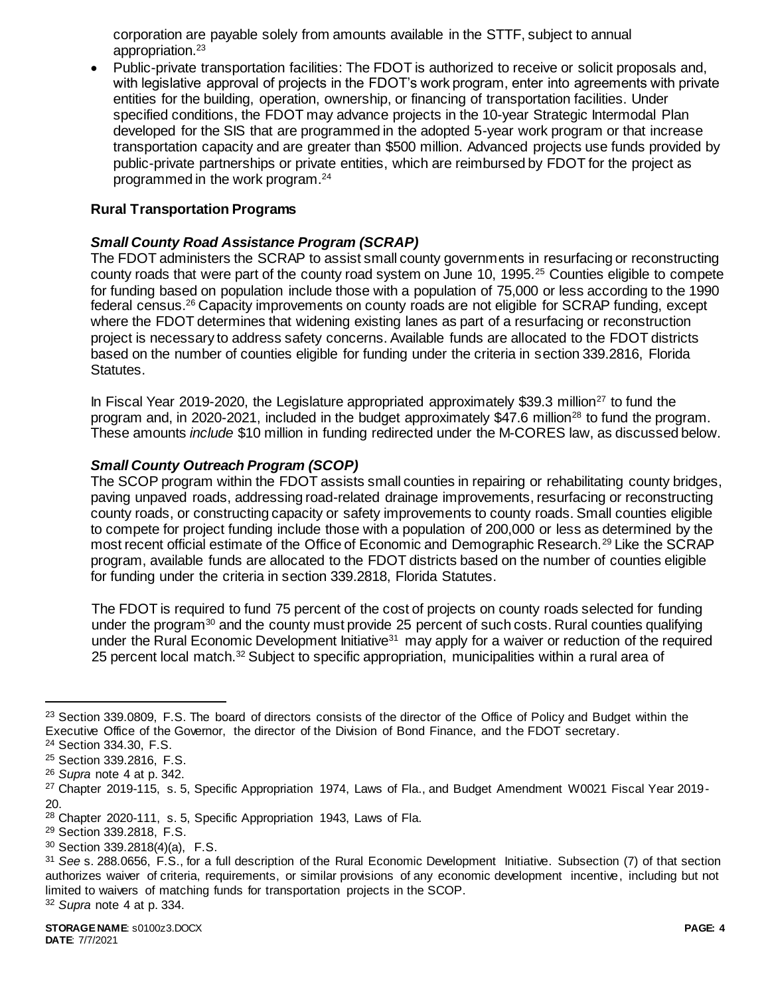corporation are payable solely from amounts available in the STTF, subject to annual appropriation.<sup>23</sup>

 Public-private transportation facilities: The FDOT is authorized to receive or solicit proposals and, with legislative approval of projects in the FDOT's work program, enter into agreements with private entities for the building, operation, ownership, or financing of transportation facilities. Under specified conditions, the FDOT may advance projects in the 10-year Strategic Intermodal Plan developed for the SIS that are programmed in the adopted 5-year work program or that increase transportation capacity and are greater than \$500 million. Advanced projects use funds provided by public-private partnerships or private entities, which are reimbursed by FDOT for the project as programmed in the work program.<sup>24</sup>

### **Rural Transportation Programs**

### *Small County Road Assistance Program (SCRAP)*

The FDOT administers the SCRAP to assist small county governments in resurfacing or reconstructing county roads that were part of the county road system on June 10, 1995.<sup>25</sup> Counties eligible to compete for funding based on population include those with a population of 75,000 or less according to the 1990 federal census.<sup>26</sup> Capacity improvements on county roads are not eligible for SCRAP funding, except where the FDOT determines that widening existing lanes as part of a resurfacing or reconstruction project is necessary to address safety concerns. Available funds are allocated to the FDOT districts based on the number of counties eligible for funding under the criteria in section 339.2816, Florida Statutes.

In Fiscal Year 2019-2020, the Legislature appropriated approximately \$39.3 million<sup>27</sup> to fund the program and, in 2020-2021, included in the budget approximately \$47.6 million<sup>28</sup> to fund the program. These amounts *include* \$10 million in funding redirected under the M-CORES law, as discussed below.

#### *Small County Outreach Program (SCOP)*

The SCOP program within the FDOT assists small counties in repairing or rehabilitating county bridges, paving unpaved roads, addressing road-related drainage improvements, resurfacing or reconstructing county roads, or constructing capacity or safety improvements to county roads. Small counties eligible to compete for project funding include those with a population of 200,000 or less as determined by the most recent official estimate of the Office of Economic and Demographic Research.<sup>29</sup> Like the SCRAP program, available funds are allocated to the FDOT districts based on the number of counties eligible for funding under the criteria in section 339.2818, Florida Statutes.

The FDOT is required to fund 75 percent of the cost of projects on county roads selected for funding under the program<sup>30</sup> and the county must provide 25 percent of such costs. Rural counties qualifying under the Rural Economic Development Initiative<sup>31</sup> may apply for a waiver or reduction of the required 25 percent local match.<sup>32</sup> Subject to specific appropriation, municipalities within a rural area of

<sup>&</sup>lt;sup>23</sup> Section 339.0809, F.S. The board of directors consists of the director of the Office of Policy and Budget within the Executive Office of the Governor, the director of the Division of Bond Finance, and the FDOT secretary. <sup>24</sup> Section 334.30, F.S.

<sup>25</sup> Section 339.2816, F.S.

<sup>26</sup> *Supra* note 4 at p. 342.

<sup>&</sup>lt;sup>27</sup> Chapter 2019-115, s. 5, Specific Appropriation 1974, Laws of Fla., and Budget Amendment W0021 Fiscal Year 2019-20.

<sup>28</sup> Chapter 2020-111, s. 5, Specific Appropriation 1943, Laws of Fla.

<sup>29</sup> Section 339.2818, F.S.

<sup>30</sup> Section 339.2818(4)(a), F.S.

<sup>31</sup> *See* s. 288.0656, F.S., for a full description of the Rural Economic Development Initiative. Subsection (7) of that section authorizes waiver of criteria, requirements, or similar provisions of any economic development incentive, including but not limited to waivers of matching funds for transportation projects in the SCOP.

<sup>32</sup> *Supra* note 4 at p. 334.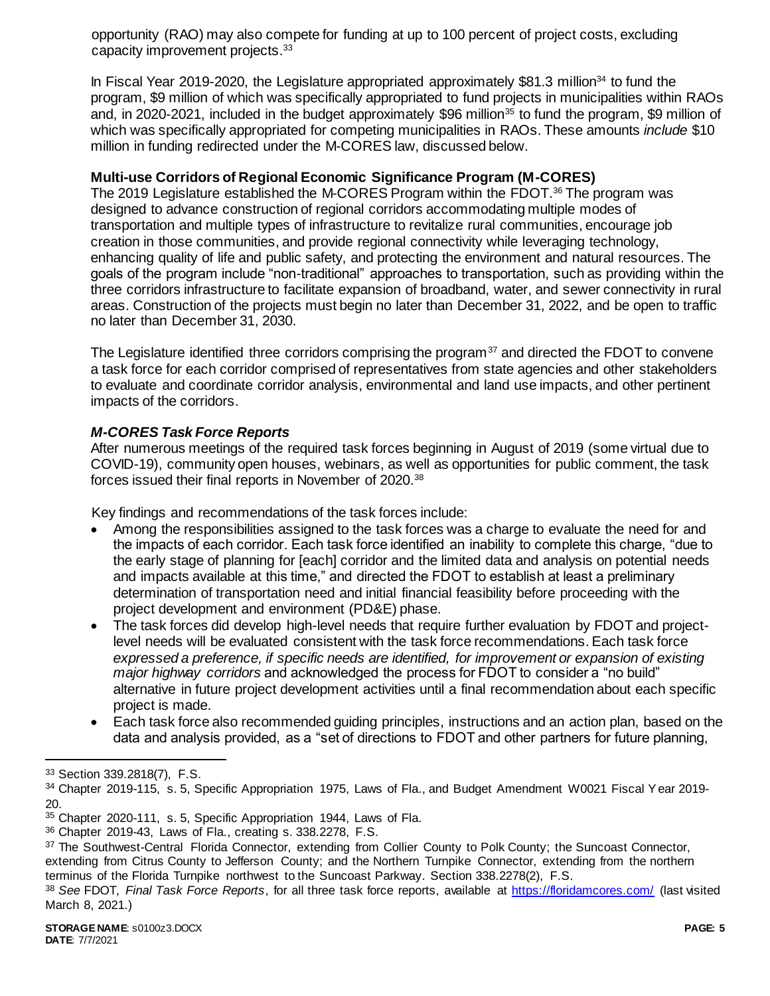opportunity (RAO) may also compete for funding at up to 100 percent of project costs, excluding capacity improvement projects.<sup>33</sup>

In Fiscal Year 2019-2020, the Legislature appropriated approximately \$81.3 million<sup>34</sup> to fund the program, \$9 million of which was specifically appropriated to fund projects in municipalities within RAOs and, in 2020-2021, included in the budget approximately \$96 million<sup>35</sup> to fund the program, \$9 million of which was specifically appropriated for competing municipalities in RAOs. These amounts *include* \$10 million in funding redirected under the M-CORES law, discussed below.

## **Multi-use Corridors of Regional Economic Significance Program (M-CORES)**

The 2019 Legislature established the M-CORES Program within the FDOT.<sup>36</sup> The program was designed to advance construction of regional corridors accommodating multiple modes of transportation and multiple types of infrastructure to revitalize rural communities, encourage job creation in those communities, and provide regional connectivity while leveraging technology, enhancing quality of life and public safety, and protecting the environment and natural resources. The goals of the program include "non-traditional" approaches to transportation, such as providing within the three corridors infrastructure to facilitate expansion of broadband, water, and sewer connectivity in rural areas. Construction of the projects must begin no later than December 31, 2022, and be open to traffic no later than December 31, 2030.

The Legislature identified three corridors comprising the program<sup>37</sup> and directed the FDOT to convene a task force for each corridor comprised of representatives from state agencies and other stakeholders to evaluate and coordinate corridor analysis, environmental and land use impacts, and other pertinent impacts of the corridors.

# *M-CORES Task Force Reports*

After numerous meetings of the required task forces beginning in August of 2019 (some virtual due to COVID-19), community open houses, webinars, as well as opportunities for public comment, the task forces issued their final reports in November of 2020.<sup>38</sup>

Key findings and recommendations of the task forces include:

- Among the responsibilities assigned to the task forces was a charge to evaluate the need for and the impacts of each corridor. Each task force identified an inability to complete this charge, "due to the early stage of planning for [each] corridor and the limited data and analysis on potential needs and impacts available at this time," and directed the FDOT to establish at least a preliminary determination of transportation need and initial financial feasibility before proceeding with the project development and environment (PD&E) phase.
- The task forces did develop high-level needs that require further evaluation by FDOT and projectlevel needs will be evaluated consistent with the task force recommendations. Each task force *expressed a preference, if specific needs are identified, for improvement or expansion of existing major highway corridors* and acknowledged the process for FDOT to consider a "no build" alternative in future project development activities until a final recommendation about each specific project is made.
- Each task force also recommended guiding principles, instructions and an action plan, based on the data and analysis provided, as a "set of directions to FDOT and other partners for future planning,

<sup>33</sup> Section 339.2818(7), F.S.

<sup>34</sup> Chapter 2019-115, s. 5, Specific Appropriation 1975, Laws of Fla., and Budget Amendment W0021 Fiscal Year 2019-20.

<sup>35</sup> Chapter 2020-111, s. 5, Specific Appropriation 1944, Laws of Fla.

<sup>36</sup> Chapter 2019-43, Laws of Fla., creating s. 338.2278, F.S.

<sup>37</sup> The Southwest-Central Florida Connector, extending from Collier County to Polk County; the Suncoast Connector, extending from Citrus County to Jefferson County; and the Northern Turnpike Connector, extending from the northern terminus of the Florida Turnpike northwest to the Suncoast Parkway. Section 338.2278(2), F.S.

<sup>38</sup> *See* FDOT, *Final Task Force Reports*, for all three task force reports, available at<https://floridamcores.com/> (last visited March 8, 2021.)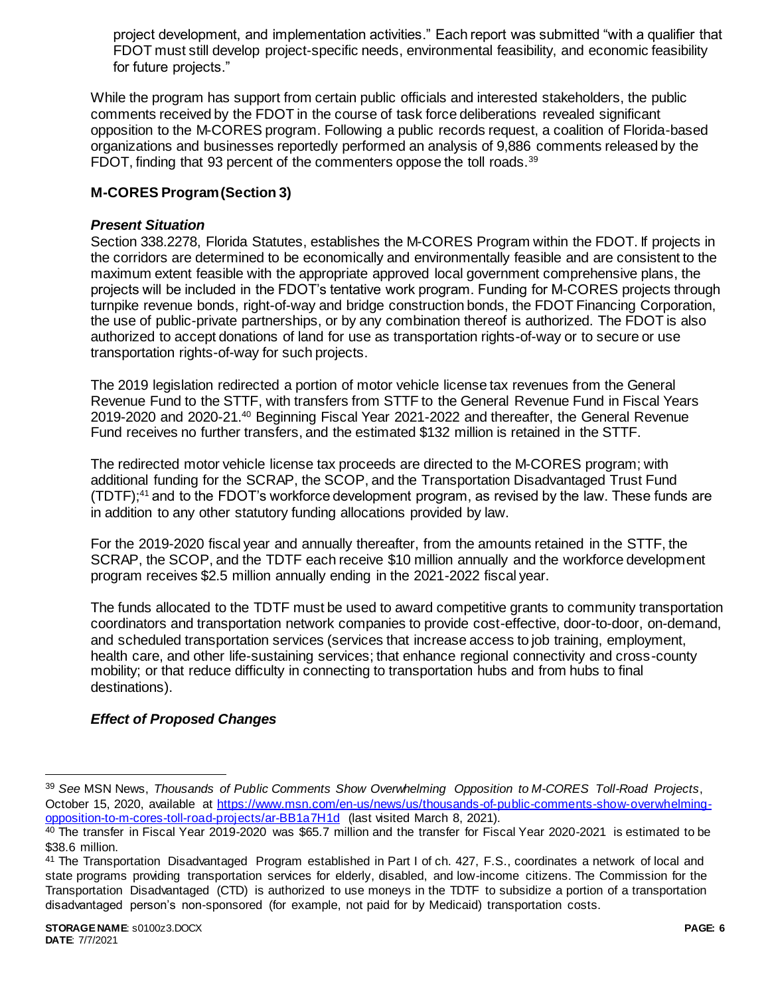project development, and implementation activities." Each report was submitted "with a qualifier that FDOT must still develop project-specific needs, environmental feasibility, and economic feasibility for future projects."

While the program has support from certain public officials and interested stakeholders, the public comments received by the FDOT in the course of task force deliberations revealed significant opposition to the M-CORES program. Following a public records request, a coalition of Florida-based organizations and businesses reportedly performed an analysis of 9,886 comments released by the FDOT, finding that 93 percent of the commenters oppose the toll roads.<sup>39</sup>

## **M-CORES Program (Section 3)**

### *Present Situation*

Section 338.2278, Florida Statutes, establishes the M-CORES Program within the FDOT. If projects in the corridors are determined to be economically and environmentally feasible and are consistent to the maximum extent feasible with the appropriate approved local government comprehensive plans, the projects will be included in the FDOT's tentative work program. Funding for M-CORES projects through turnpike revenue bonds, right-of-way and bridge construction bonds, the FDOT Financing Corporation, the use of public-private partnerships, or by any combination thereof is authorized. The FDOT is also authorized to accept donations of land for use as transportation rights-of-way or to secure or use transportation rights-of-way for such projects.

The 2019 legislation redirected a portion of motor vehicle license tax revenues from the General Revenue Fund to the STTF, with transfers from STTF to the General Revenue Fund in Fiscal Years 2019-2020 and 2020-21.<sup>40</sup> Beginning Fiscal Year 2021-2022 and thereafter, the General Revenue Fund receives no further transfers, and the estimated \$132 million is retained in the STTF.

The redirected motor vehicle license tax proceeds are directed to the M-CORES program; with additional funding for the SCRAP, the SCOP, and the Transportation Disadvantaged Trust Fund (TDTF);<sup>41</sup> and to the FDOT's workforce development program, as revised by the law. These funds are in addition to any other statutory funding allocations provided by law.

For the 2019-2020 fiscal year and annually thereafter, from the amounts retained in the STTF, the SCRAP, the SCOP, and the TDTF each receive \$10 million annually and the workforce development program receives \$2.5 million annually ending in the 2021-2022 fiscal year.

The funds allocated to the TDTF must be used to award competitive grants to community transportation coordinators and transportation network companies to provide cost-effective, door-to-door, on-demand, and scheduled transportation services (services that increase access to job training, employment, health care, and other life-sustaining services; that enhance regional connectivity and cross-county mobility; or that reduce difficulty in connecting to transportation hubs and from hubs to final destinations).

### *Effect of Proposed Changes*

<sup>39</sup> *See* MSN News, *Thousands of Public Comments Show Overwhelming Opposition to M-CORES Toll-Road Projects*, October 15, 2020, available at [https://www.msn.com/en-us/news/us/thousands-of-public-comments-show-overwhelming](https://www.msn.com/en-us/news/us/thousands-of-public-comments-show-overwhelming-opposition-to-m-cores-toll-road-projects/ar-BB1a7H1d)[opposition-to-m-cores-toll-road-projects/ar-BB1a7H1d](https://www.msn.com/en-us/news/us/thousands-of-public-comments-show-overwhelming-opposition-to-m-cores-toll-road-projects/ar-BB1a7H1d) (last visited March 8, 2021).

 $40$  The transfer in Fiscal Year 2019-2020 was \$65.7 million and the transfer for Fiscal Year 2020-2021 is estimated to be \$38.6 million.

<sup>41</sup> The Transportation Disadvantaged Program established in Part I of ch. 427, F.S., coordinates a network of local and state programs providing transportation services for elderly, disabled, and low-income citizens. The Commission for the Transportation Disadvantaged (CTD) is authorized to use moneys in the TDTF to subsidize a portion of a transportation disadvantaged person's non-sponsored (for example, not paid for by Medicaid) transportation costs.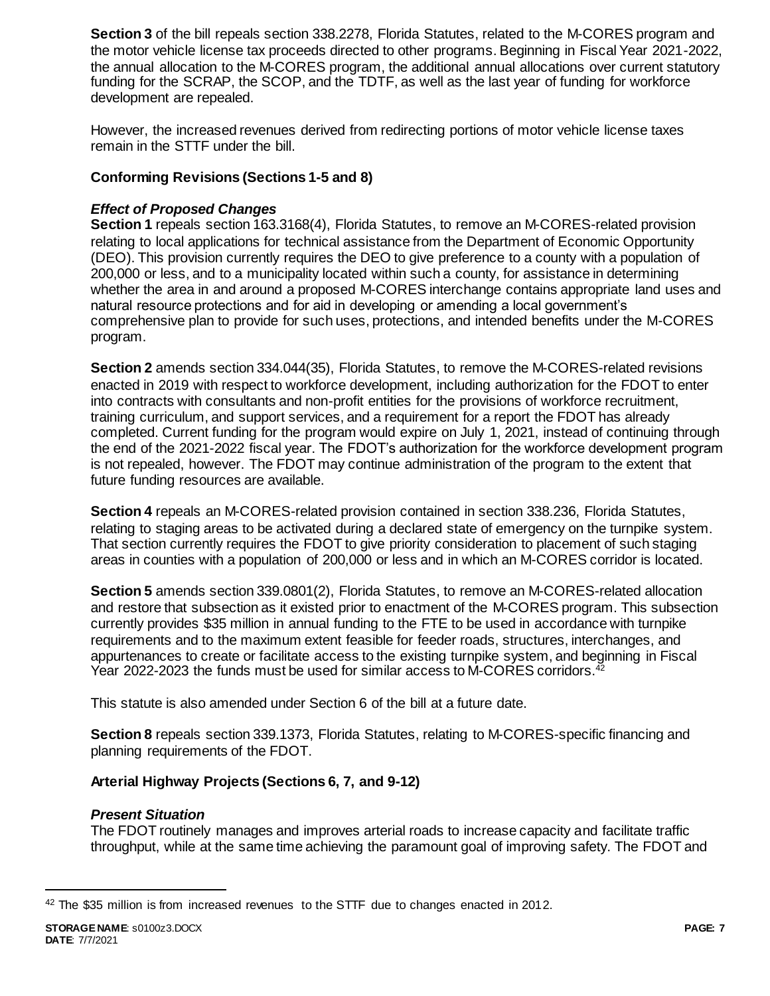**Section 3** of the bill repeals section 338.2278, Florida Statutes, related to the M-CORES program and the motor vehicle license tax proceeds directed to other programs. Beginning in Fiscal Year 2021-2022, the annual allocation to the M-CORES program, the additional annual allocations over current statutory funding for the SCRAP, the SCOP, and the TDTF, as well as the last year of funding for workforce development are repealed.

However, the increased revenues derived from redirecting portions of motor vehicle license taxes remain in the STTF under the bill.

## **Conforming Revisions (Sections 1-5 and 8)**

### *Effect of Proposed Changes*

**Section 1** repeals section 163.3168(4), Florida Statutes, to remove an M-CORES-related provision relating to local applications for technical assistance from the Department of Economic Opportunity (DEO). This provision currently requires the DEO to give preference to a county with a population of 200,000 or less, and to a municipality located within such a county, for assistance in determining whether the area in and around a proposed M-CORES interchange contains appropriate land uses and natural resource protections and for aid in developing or amending a local government's comprehensive plan to provide for such uses, protections, and intended benefits under the M-CORES program.

**Section 2** amends section 334.044(35), Florida Statutes, to remove the M-CORES-related revisions enacted in 2019 with respect to workforce development, including authorization for the FDOT to enter into contracts with consultants and non-profit entities for the provisions of workforce recruitment, training curriculum, and support services, and a requirement for a report the FDOT has already completed. Current funding for the program would expire on July 1, 2021, instead of continuing through the end of the 2021-2022 fiscal year. The FDOT's authorization for the workforce development program is not repealed, however. The FDOT may continue administration of the program to the extent that future funding resources are available.

**Section 4** repeals an M-CORES-related provision contained in section 338.236, Florida Statutes, relating to staging areas to be activated during a declared state of emergency on the turnpike system. That section currently requires the FDOT to give priority consideration to placement of such staging areas in counties with a population of 200,000 or less and in which an M-CORES corridor is located.

**Section 5** amends section 339.0801(2), Florida Statutes, to remove an M-CORES-related allocation and restore that subsection as it existed prior to enactment of the M-CORES program. This subsection currently provides \$35 million in annual funding to the FTE to be used in accordance with turnpike requirements and to the maximum extent feasible for feeder roads, structures, interchanges, and appurtenances to create or facilitate access to the existing turnpike system, and beginning in Fiscal Year 2022-2023 the funds must be used for similar access to M-CORES corridors.<sup>42</sup>

This statute is also amended under Section 6 of the bill at a future date.

**Section 8** repeals section 339.1373, Florida Statutes, relating to M-CORES-specific financing and planning requirements of the FDOT.

### **Arterial Highway Projects (Sections 6, 7, and 9-12)**

### *Present Situation*

The FDOT routinely manages and improves arterial roads to increase capacity and facilitate traffic throughput, while at the same time achieving the paramount goal of improving safety. The FDOT and

<sup>42</sup> The \$35 million is from increased revenues to the STTF due to changes enacted in 2012.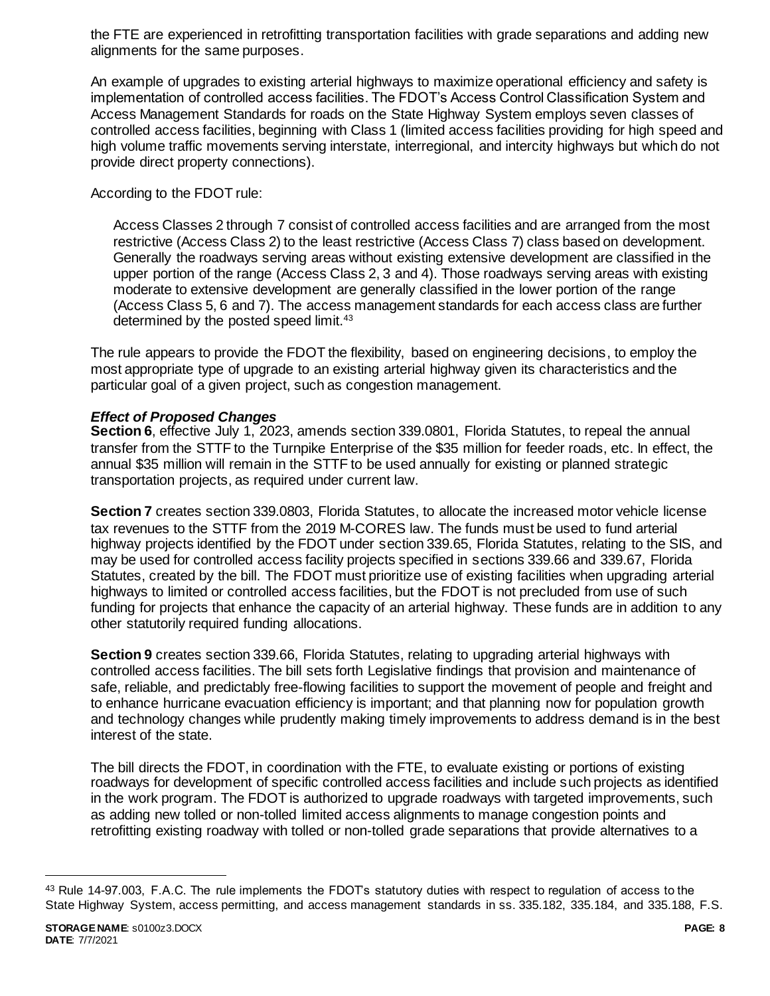the FTE are experienced in retrofitting transportation facilities with grade separations and adding new alignments for the same purposes.

An example of upgrades to existing arterial highways to maximize operational efficiency and safety is implementation of controlled access facilities. The FDOT's Access Control Classification System and Access Management Standards for roads on the State Highway System employs seven classes of controlled access facilities, beginning with Class 1 (limited access facilities providing for high speed and high volume traffic movements serving interstate, interregional, and intercity highways but which do not provide direct property connections).

According to the FDOT rule:

Access Classes 2 through 7 consist of controlled access facilities and are arranged from the most restrictive (Access Class 2) to the least restrictive (Access Class 7) class based on development. Generally the roadways serving areas without existing extensive development are classified in the upper portion of the range (Access Class 2, 3 and 4). Those roadways serving areas with existing moderate to extensive development are generally classified in the lower portion of the range (Access Class 5, 6 and 7). The access management standards for each access class are further determined by the posted speed limit.<sup>43</sup>

The rule appears to provide the FDOT the flexibility, based on engineering decisions, to employ the most appropriate type of upgrade to an existing arterial highway given its characteristics and the particular goal of a given project, such as congestion management.

### *Effect of Proposed Changes*

**Section 6**, effective July 1, 2023, amends section 339.0801, Florida Statutes, to repeal the annual transfer from the STTF to the Turnpike Enterprise of the \$35 million for feeder roads, etc. In effect, the annual \$35 million will remain in the STTF to be used annually for existing or planned strategic transportation projects, as required under current law.

**Section 7** creates section 339.0803, Florida Statutes, to allocate the increased motor vehicle license tax revenues to the STTF from the 2019 M-CORES law. The funds must be used to fund arterial highway projects identified by the FDOT under section 339.65, Florida Statutes, relating to the SIS, and may be used for controlled access facility projects specified in sections 339.66 and 339.67, Florida Statutes, created by the bill. The FDOT must prioritize use of existing facilities when upgrading arterial highways to limited or controlled access facilities, but the FDOT is not precluded from use of such funding for projects that enhance the capacity of an arterial highway. These funds are in addition to any other statutorily required funding allocations.

**Section 9** creates section 339.66, Florida Statutes, relating to upgrading arterial highways with controlled access facilities. The bill sets forth Legislative findings that provision and maintenance of safe, reliable, and predictably free-flowing facilities to support the movement of people and freight and to enhance hurricane evacuation efficiency is important; and that planning now for population growth and technology changes while prudently making timely improvements to address demand is in the best interest of the state.

The bill directs the FDOT, in coordination with the FTE, to evaluate existing or portions of existing roadways for development of specific controlled access facilities and include such projects as identified in the work program. The FDOT is authorized to upgrade roadways with targeted improvements, such as adding new tolled or non-tolled limited access alignments to manage congestion points and retrofitting existing roadway with tolled or non-tolled grade separations that provide alternatives to a

<sup>43</sup> Rule 14-97.003, F.A.C. The rule implements the FDOT's statutory duties with respect to regulation of access to the State Highway System, access permitting, and access management standards in ss. 335.182, 335.184, and 335.188, F.S.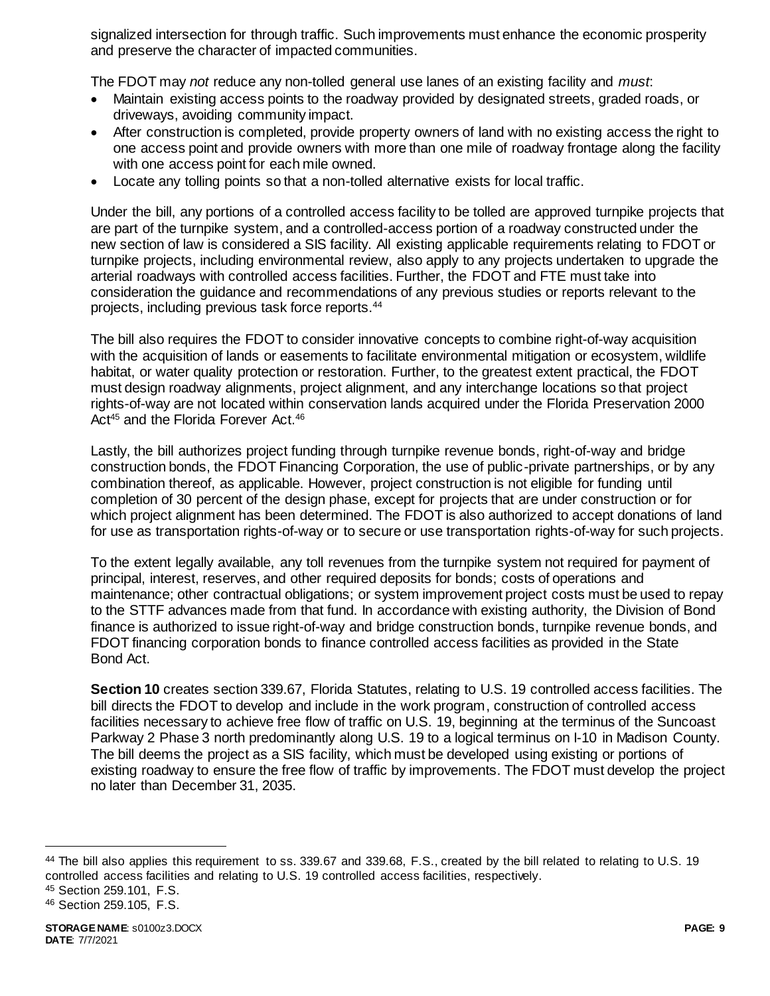signalized intersection for through traffic. Such improvements must enhance the economic prosperity and preserve the character of impacted communities.

The FDOT may *not* reduce any non-tolled general use lanes of an existing facility and *must*:

- Maintain existing access points to the roadway provided by designated streets, graded roads, or driveways, avoiding community impact.
- After construction is completed, provide property owners of land with no existing access the right to one access point and provide owners with more than one mile of roadway frontage along the facility with one access point for each mile owned.
- Locate any tolling points so that a non-tolled alternative exists for local traffic.

Under the bill, any portions of a controlled access facility to be tolled are approved turnpike projects that are part of the turnpike system, and a controlled-access portion of a roadway constructed under the new section of law is considered a SIS facility. All existing applicable requirements relating to FDOT or turnpike projects, including environmental review, also apply to any projects undertaken to upgrade the arterial roadways with controlled access facilities. Further, the FDOT and FTE must take into consideration the guidance and recommendations of any previous studies or reports relevant to the projects, including previous task force reports.<sup>44</sup>

The bill also requires the FDOT to consider innovative concepts to combine right-of-way acquisition with the acquisition of lands or easements to facilitate environmental mitigation or ecosystem, wildlife habitat, or water quality protection or restoration. Further, to the greatest extent practical, the FDOT must design roadway alignments, project alignment, and any interchange locations so that project rights-of-way are not located within conservation lands acquired under the Florida Preservation 2000 Act<sup>45</sup> and the Florida Forever Act.<sup>46</sup>

Lastly, the bill authorizes project funding through turnpike revenue bonds, right-of-way and bridge construction bonds, the FDOT Financing Corporation, the use of public-private partnerships, or by any combination thereof, as applicable. However, project construction is not eligible for funding until completion of 30 percent of the design phase, except for projects that are under construction or for which project alignment has been determined. The FDOT is also authorized to accept donations of land for use as transportation rights-of-way or to secure or use transportation rights-of-way for such projects.

To the extent legally available, any toll revenues from the turnpike system not required for payment of principal, interest, reserves, and other required deposits for bonds; costs of operations and maintenance; other contractual obligations; or system improvement project costs must be used to repay to the STTF advances made from that fund. In accordance with existing authority, the Division of Bond finance is authorized to issue right-of-way and bridge construction bonds, turnpike revenue bonds, and FDOT financing corporation bonds to finance controlled access facilities as provided in the State Bond Act.

**Section 10** creates section 339.67, Florida Statutes, relating to U.S. 19 controlled access facilities. The bill directs the FDOT to develop and include in the work program, construction of controlled access facilities necessary to achieve free flow of traffic on U.S. 19, beginning at the terminus of the Suncoast Parkway 2 Phase 3 north predominantly along U.S. 19 to a logical terminus on I-10 in Madison County. The bill deems the project as a SIS facility, which must be developed using existing or portions of existing roadway to ensure the free flow of traffic by improvements. The FDOT must develop the project no later than December 31, 2035.

<sup>44</sup> The bill also applies this requirement to ss. 339.67 and 339.68, F.S., created by the bill related to relating to U.S. 19 controlled access facilities and relating to U.S. 19 controlled access facilities, respectively.

<sup>45</sup> Section 259.101, F.S.

<sup>46</sup> Section 259.105, F.S.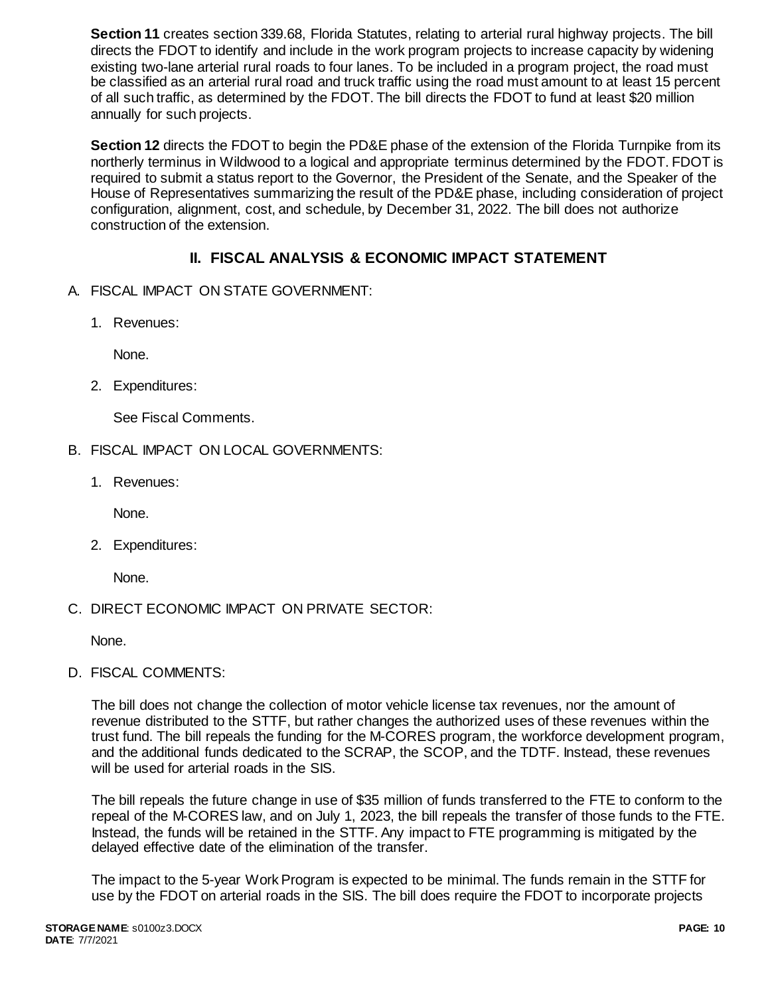**Section 11** creates section 339.68, Florida Statutes, relating to arterial rural highway projects. The bill directs the FDOT to identify and include in the work program projects to increase capacity by widening existing two-lane arterial rural roads to four lanes. To be included in a program project, the road must be classified as an arterial rural road and truck traffic using the road must amount to at least 15 percent of all such traffic, as determined by the FDOT. The bill directs the FDOT to fund at least \$20 million annually for such projects.

**Section 12** directs the FDOT to begin the PD&E phase of the extension of the Florida Turnpike from its northerly terminus in Wildwood to a logical and appropriate terminus determined by the FDOT. FDOT is required to submit a status report to the Governor, the President of the Senate, and the Speaker of the House of Representatives summarizing the result of the PD&E phase, including consideration of project configuration, alignment, cost, and schedule, by December 31, 2022. The bill does not authorize construction of the extension.

# **II. FISCAL ANALYSIS & ECONOMIC IMPACT STATEMENT**

- A. FISCAL IMPACT ON STATE GOVERNMENT:
	- 1. Revenues:

None.

2. Expenditures:

See Fiscal Comments.

- B. FISCAL IMPACT ON LOCAL GOVERNMENTS:
	- 1. Revenues:

None.

2. Expenditures:

None.

C. DIRECT ECONOMIC IMPACT ON PRIVATE SECTOR:

None.

D. FISCAL COMMENTS:

The bill does not change the collection of motor vehicle license tax revenues, nor the amount of revenue distributed to the STTF, but rather changes the authorized uses of these revenues within the trust fund. The bill repeals the funding for the M-CORES program, the workforce development program, and the additional funds dedicated to the SCRAP, the SCOP, and the TDTF. Instead, these revenues will be used for arterial roads in the SIS.

The bill repeals the future change in use of \$35 million of funds transferred to the FTE to conform to the repeal of the M-CORES law, and on July 1, 2023, the bill repeals the transfer of those funds to the FTE. Instead, the funds will be retained in the STTF. Any impact to FTE programming is mitigated by the delayed effective date of the elimination of the transfer.

The impact to the 5-year Work Program is expected to be minimal. The funds remain in the STTF for use by the FDOT on arterial roads in the SIS. The bill does require the FDOT to incorporate projects